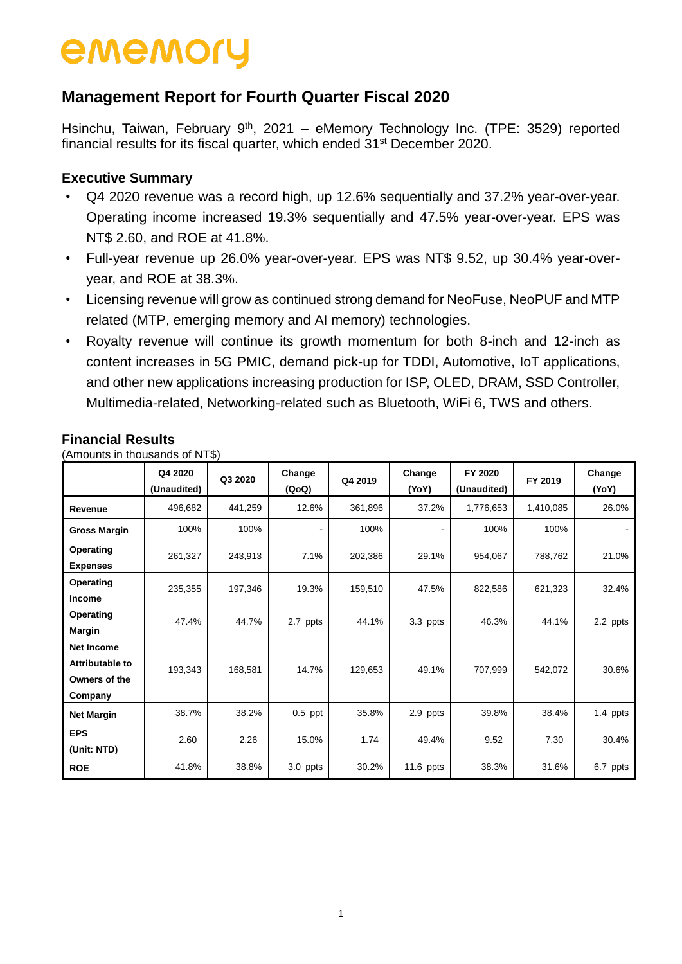### **Management Report for Fourth Quarter Fiscal 2020**

Hsinchu, Taiwan, February 9<sup>th</sup>, 2021 - eMemory Technology Inc. (TPE: 3529) reported financial results for its fiscal quarter, which ended 31<sup>st</sup> December 2020.

### **Executive Summary**

- Q4 2020 revenue was a record high, up 12.6% sequentially and 37.2% year-over-year. Operating income increased 19.3% sequentially and 47.5% year-over-year. EPS was NT\$ 2.60, and ROE at 41.8%.
- Full-year revenue up 26.0% year-over-year. EPS was NT\$ 9.52, up 30.4% year-overyear, and ROE at 38.3%.
- Licensing revenue will grow as continued strong demand for NeoFuse, NeoPUF and MTP related (MTP, emerging memory and AI memory) technologies.
- Royalty revenue will continue its growth momentum for both 8-inch and 12-inch as content increases in 5G PMIC, demand pick-up for TDDI, Automotive, IoT applications, and other new applications increasing production for ISP, OLED, DRAM, SSD Controller, Multimedia-related, Networking-related such as Bluetooth, WiFi 6, TWS and others.

|                                                                  | Q4 2020<br>(Unaudited) | Q3 2020 | Change<br>(QoQ) | Q4 2019 | Change<br>(YoY) | FY 2020<br>(Unaudited) | FY 2019   | Change<br>(YoY) |
|------------------------------------------------------------------|------------------------|---------|-----------------|---------|-----------------|------------------------|-----------|-----------------|
| Revenue                                                          | 496,682                | 441,259 | 12.6%           | 361,896 | 37.2%           | 1,776,653              | 1,410,085 | 26.0%           |
| <b>Gross Margin</b>                                              | 100%                   | 100%    |                 | 100%    |                 | 100%                   | 100%      |                 |
| Operating<br><b>Expenses</b>                                     | 261,327                | 243,913 | 7.1%            | 202,386 | 29.1%           | 954,067                | 788,762   | 21.0%           |
| Operating<br><b>Income</b>                                       | 235,355                | 197,346 | 19.3%           | 159,510 | 47.5%           | 822,586                | 621,323   | 32.4%           |
| Operating<br><b>Margin</b>                                       | 47.4%                  | 44.7%   | 2.7 ppts        | 44.1%   | 3.3 ppts        | 46.3%                  | 44.1%     | 2.2 ppts        |
| <b>Net Income</b><br>Attributable to<br>Owners of the<br>Company | 193,343                | 168,581 | 14.7%           | 129,653 | 49.1%           | 707,999                | 542,072   | 30.6%           |
| <b>Net Margin</b>                                                | 38.7%                  | 38.2%   | $0.5$ ppt       | 35.8%   | 2.9 ppts        | 39.8%                  | 38.4%     | 1.4 ppts        |
| <b>EPS</b><br>(Unit: NTD)                                        | 2.60                   | 2.26    | 15.0%           | 1.74    | 49.4%           | 9.52                   | 7.30      | 30.4%           |
| <b>ROE</b>                                                       | 41.8%                  | 38.8%   | 3.0 ppts        | 30.2%   | $11.6$ ppts     | 38.3%                  | 31.6%     | 6.7 ppts        |

#### **Financial Results**

(Amounts in thousands of NT\$)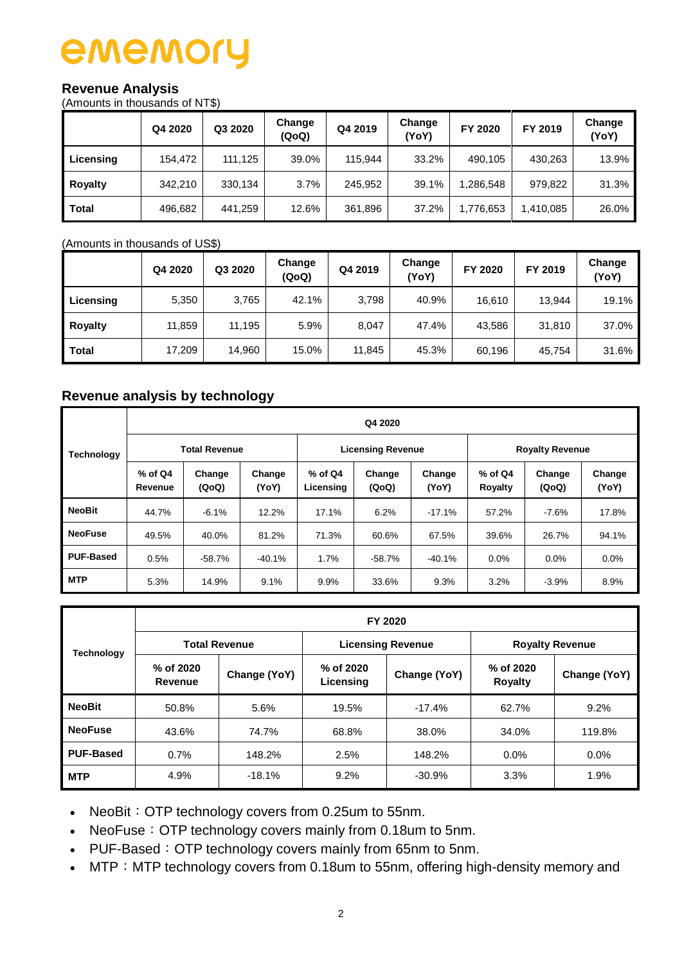#### **Revenue Analysis**

(Amounts in thousands of NT\$)

|              | Q4 2020 | Q3 2020 | Change<br>(QoQ) | Q4 2019 | Change<br>(YoY) | FY 2020   | FY 2019   | Change<br>(YoY) |
|--------------|---------|---------|-----------------|---------|-----------------|-----------|-----------|-----------------|
| Licensing    | 154.472 | 111,125 | 39.0%           | 115.944 | 33.2%           | 490,105   | 430,263   | 13.9%           |
| Royalty      | 342.210 | 330,134 | 3.7%            | 245,952 | 39.1%           | 1,286,548 | 979,822   | 31.3%           |
| <b>Total</b> | 496,682 | 441,259 | 12.6%           | 361,896 | 37.2%           | 1,776,653 | 1,410,085 | 26.0%           |

(Amounts in thousands of US\$)

|                | Q4 2020 | Q3 2020 | Change<br>(QoQ) | Q4 2019 | Change<br>(YoY) | FY 2020 | FY 2019 | Change<br>(YoY) |
|----------------|---------|---------|-----------------|---------|-----------------|---------|---------|-----------------|
| Licensing      | 5,350   | 3,765   | 42.1%           | 3,798   | 40.9%           | 16,610  | 13,944  | 19.1%           |
| <b>Royalty</b> | 11,859  | 11,195  | 5.9%            | 8,047   | 47.4%           | 43,586  | 31,810  | 37.0%           |
| <b>Total</b>   | 17,209  | 14,960  | 15.0%           | 11,845  | 45.3%           | 60,196  | 45,754  | 31.6%           |

### **Revenue analysis by technology**

|                   |                                                            | Q4 2020              |                        |                 |                          |                      |                        |                 |         |  |  |  |  |  |
|-------------------|------------------------------------------------------------|----------------------|------------------------|-----------------|--------------------------|----------------------|------------------------|-----------------|---------|--|--|--|--|--|
| <b>Technology</b> |                                                            | <b>Total Revenue</b> |                        |                 | <b>Licensing Revenue</b> |                      | <b>Royalty Revenue</b> |                 |         |  |  |  |  |  |
|                   | $%$ of Q4<br>Change<br>Change<br>(QoQ)<br>Revenue<br>(YoY) |                      | $%$ of Q4<br>Licensing | Change<br>(QoQ) | Change<br>(YoY)          | $%$ of Q4<br>Royalty | Change<br>(QoQ)        | Change<br>(YoY) |         |  |  |  |  |  |
| <b>NeoBit</b>     | 44.7%                                                      | $-6.1%$              | 12.2%                  | 17.1%           | 6.2%                     | $-17.1%$             | 57.2%                  | $-7.6%$         | 17.8%   |  |  |  |  |  |
| <b>NeoFuse</b>    | 49.5%                                                      | 40.0%                | 81.2%                  | 71.3%           | 60.6%                    | 67.5%                | 39.6%                  | 26.7%           | 94.1%   |  |  |  |  |  |
| <b>PUF-Based</b>  | 0.5%                                                       | $-58.7%$             | $-40.1%$               | 1.7%            | $-58.7%$                 | $-40.1%$             | $0.0\%$                | $0.0\%$         | $0.0\%$ |  |  |  |  |  |
| <b>MTP</b>        | 5.3%                                                       | 14.9%                | 9.1%                   | 9.9%            | 33.6%                    | 9.3%                 | 3.2%                   | $-3.9%$         | 8.9%    |  |  |  |  |  |

|                   |                      | FY 2020              |                        |                          |                             |              |  |  |  |  |  |  |  |
|-------------------|----------------------|----------------------|------------------------|--------------------------|-----------------------------|--------------|--|--|--|--|--|--|--|
| <b>Technology</b> |                      | <b>Total Revenue</b> |                        | <b>Licensing Revenue</b> | <b>Royalty Revenue</b>      |              |  |  |  |  |  |  |  |
|                   | % of 2020<br>Revenue | Change (YoY)         | % of 2020<br>Licensing | Change (YoY)             | % of 2020<br><b>Royalty</b> | Change (YoY) |  |  |  |  |  |  |  |
| <b>NeoBit</b>     | 50.8%                | 5.6%                 | 19.5%                  | $-17.4%$                 | 62.7%                       | 9.2%         |  |  |  |  |  |  |  |
| <b>NeoFuse</b>    | 43.6%                | 74.7%                | 68.8%                  | 38.0%                    | 34.0%                       | 119.8%       |  |  |  |  |  |  |  |
| <b>PUF-Based</b>  | 0.7%                 | 148.2%               | 2.5%                   | 148.2%                   | 0.0%                        | 0.0%         |  |  |  |  |  |  |  |
| <b>MTP</b>        | 4.9%                 | $-18.1%$             | 9.2%                   | $-30.9%$                 | 3.3%                        | 1.9%         |  |  |  |  |  |  |  |

• NeoBit: OTP technology covers from 0.25um to 55nm.

- NeoFuse: OTP technology covers mainly from 0.18um to 5nm.
- PUF-Based: OTP technology covers mainly from 65nm to 5nm.
- MTP: MTP technology covers from 0.18um to 55nm, offering high-density memory and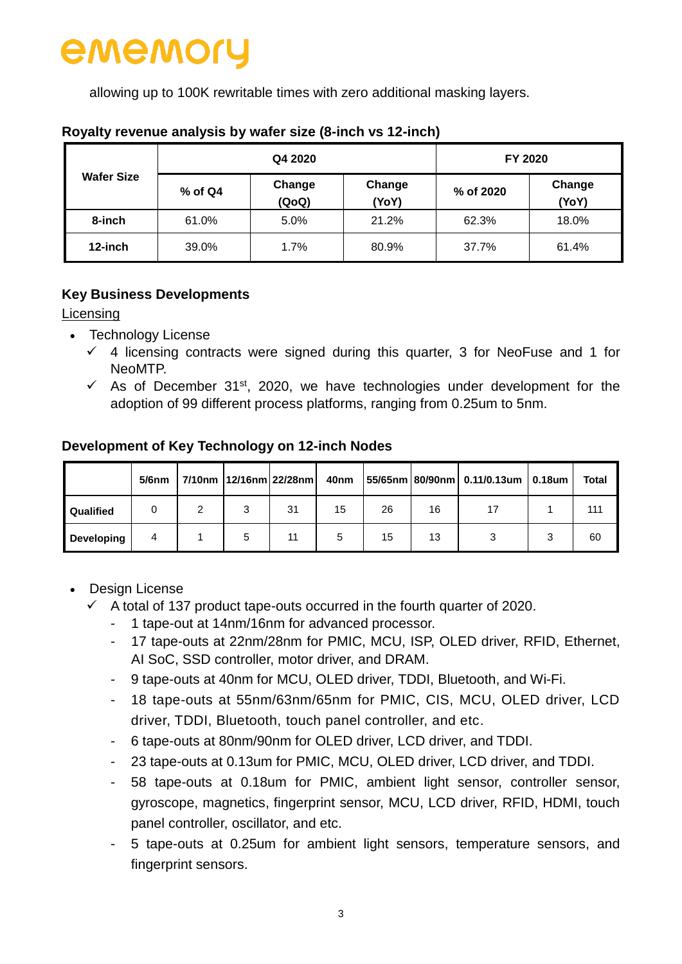allowing up to 100K rewritable times with zero additional masking layers.

|                   |           | Q4 2020         | FY 2020         |           |                 |  |
|-------------------|-----------|-----------------|-----------------|-----------|-----------------|--|
| <b>Wafer Size</b> | $%$ of Q4 | Change<br>(QoQ) | Change<br>(YoY) | % of 2020 | Change<br>(YoY) |  |
| 8-inch            | 61.0%     | 5.0%            | 21.2%           | 62.3%     | 18.0%           |  |
| 12-inch           | 39.0%     | 1.7%            | 80.9%           | 37.7%     | 61.4%           |  |

#### **Royalty revenue analysis by wafer size (8-inch vs 12-inch)**

### **Key Business Developments**

#### Licensing

- Technology License
	- $\checkmark$  4 licensing contracts were signed during this quarter, 3 for NeoFuse and 1 for NeoMTP.
	- $\checkmark$  As of December 31<sup>st</sup>, 2020, we have technologies under development for the adoption of 99 different process platforms, ranging from 0.25um to 5nm.

#### **Development of Key Technology on 12-inch Nodes**

|                   | $5/6$ nm |   | 7/10nm   12/16nm   22/28nm | 40nm |    |    | $ 55/65$ nm 80/90nm 0.11/0.13um 0.18um | <b>Total</b> |
|-------------------|----------|---|----------------------------|------|----|----|----------------------------------------|--------------|
| Qualified         |          |   | 31                         | 15   | 26 | 16 |                                        | 111          |
| <b>Developing</b> | 4        | 5 |                            |      | 15 | 13 |                                        | 60           |

- Design License
	- $\checkmark$  A total of 137 product tape-outs occurred in the fourth quarter of 2020.
		- 1 tape-out at 14nm/16nm for advanced processor.
		- 17 tape-outs at 22nm/28nm for PMIC, MCU, ISP, OLED driver, RFID, Ethernet, AI SoC, SSD controller, motor driver, and DRAM.
		- 9 tape-outs at 40nm for MCU, OLED driver, TDDI, Bluetooth, and Wi-Fi.
		- 18 tape-outs at 55nm/63nm/65nm for PMIC, CIS, MCU, OLED driver, LCD driver, TDDI, Bluetooth, touch panel controller, and etc.
		- 6 tape-outs at 80nm/90nm for OLED driver, LCD driver, and TDDI.
		- 23 tape-outs at 0.13um for PMIC, MCU, OLED driver, LCD driver, and TDDI.
		- 58 tape-outs at 0.18um for PMIC, ambient light sensor, controller sensor, gyroscope, magnetics, fingerprint sensor, MCU, LCD driver, RFID, HDMI, touch panel controller, oscillator, and etc.
		- 5 tape-outs at 0.25um for ambient light sensors, temperature sensors, and fingerprint sensors.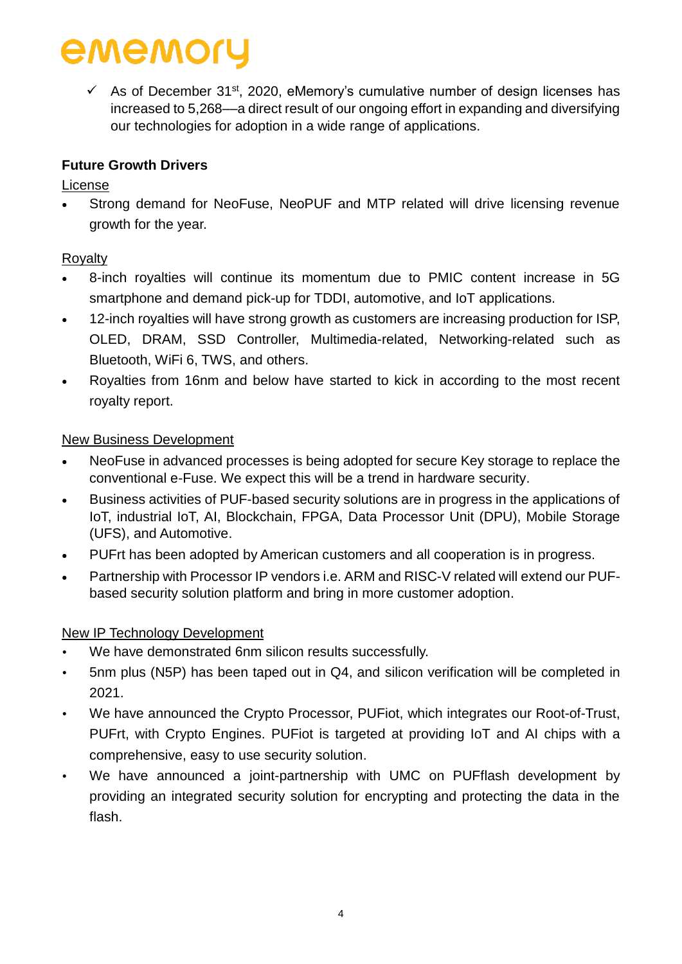$\checkmark$  As of December 31<sup>st</sup>, 2020, eMemory's cumulative number of design licenses has increased to 5,268––a direct result of our ongoing effort in expanding and diversifying our technologies for adoption in a wide range of applications.

### **Future Growth Drivers**

#### License

 Strong demand for NeoFuse, NeoPUF and MTP related will drive licensing revenue growth for the year.

### Royalty

- 8-inch royalties will continue its momentum due to PMIC content increase in 5G smartphone and demand pick-up for TDDI, automotive, and IoT applications.
- 12-inch royalties will have strong growth as customers are increasing production for ISP, OLED, DRAM, SSD Controller, Multimedia-related, Networking-related such as Bluetooth, WiFi 6, TWS, and others.
- Royalties from 16nm and below have started to kick in according to the most recent royalty report.

#### New Business Development

- NeoFuse in advanced processes is being adopted for secure Key storage to replace the conventional e-Fuse. We expect this will be a trend in hardware security.
- Business activities of PUF-based security solutions are in progress in the applications of IoT, industrial IoT, AI, Blockchain, FPGA, Data Processor Unit (DPU), Mobile Storage (UFS), and Automotive.
- PUFrt has been adopted by American customers and all cooperation is in progress.
- Partnership with Processor IP vendors i.e. ARM and RISC-V related will extend our PUFbased security solution platform and bring in more customer adoption.

#### New IP Technology Development

- We have demonstrated 6nm silicon results successfully.
- 5nm plus (N5P) has been taped out in Q4, and silicon verification will be completed in 2021.
- We have announced the Crypto Processor, PUFiot, which integrates our Root-of-Trust, PUFrt, with Crypto Engines. PUFiot is targeted at providing IoT and AI chips with a comprehensive, easy to use security solution.
- We have announced a joint-partnership with UMC on PUFflash development by providing an integrated security solution for encrypting and protecting the data in the flash.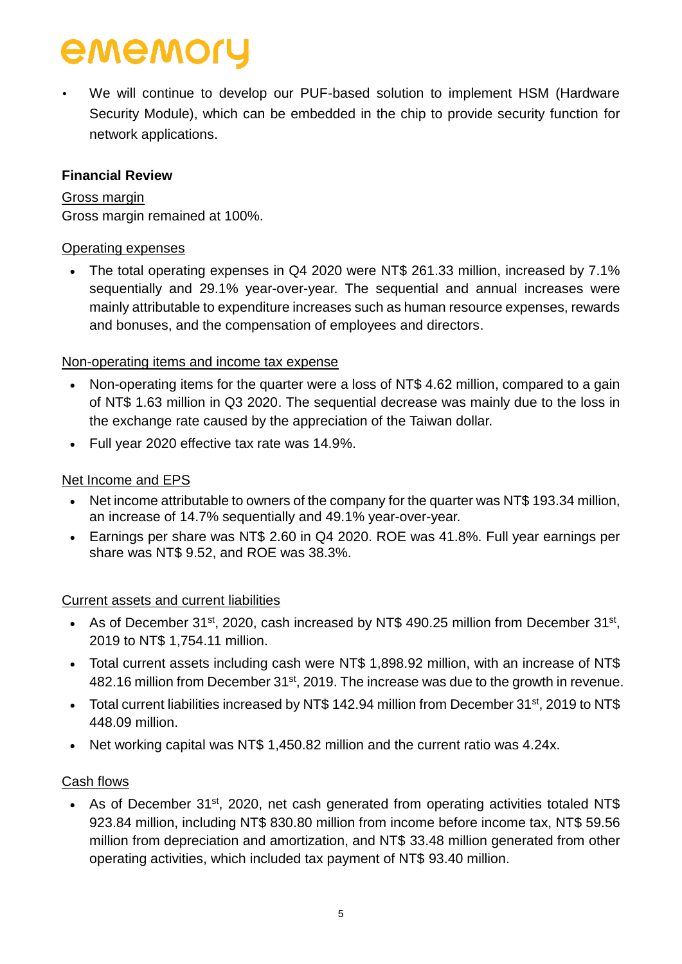We will continue to develop our PUF-based solution to implement HSM (Hardware Security Module), which can be embedded in the chip to provide security function for network applications.

#### **Financial Review**

Gross margin Gross margin remained at 100%.

#### Operating expenses

• The total operating expenses in Q4 2020 were NT\$ 261.33 million, increased by 7.1% sequentially and 29.1% year-over-year. The sequential and annual increases were mainly attributable to expenditure increases such as human resource expenses, rewards and bonuses, and the compensation of employees and directors.

#### Non-operating items and income tax expense

- Non-operating items for the quarter were a loss of NT\$ 4.62 million, compared to a gain of NT\$ 1.63 million in Q3 2020. The sequential decrease was mainly due to the loss in the exchange rate caused by the appreciation of the Taiwan dollar.
- Full year 2020 effective tax rate was 14.9%.

#### Net Income and EPS

- Net income attributable to owners of the company for the quarter was NT\$ 193.34 million, an increase of 14.7% sequentially and 49.1% year-over-year.
- Earnings per share was NT\$ 2.60 in Q4 2020. ROE was 41.8%. Full year earnings per share was NT\$ 9.52, and ROE was 38.3%.

#### Current assets and current liabilities

- As of December 31<sup>st</sup>, 2020, cash increased by NT\$ 490.25 million from December 31<sup>st</sup>, 2019 to NT\$ 1,754.11 million.
- Total current assets including cash were NT\$ 1,898.92 million, with an increase of NT\$ 482.16 million from December 31<sup>st</sup>, 2019. The increase was due to the growth in revenue.
- Total current liabilities increased by NT\$ 142.94 million from December 31<sup>st</sup>, 2019 to NT\$ 448.09 million.
- Net working capital was NT\$ 1,450.82 million and the current ratio was 4.24x.

#### Cash flows

• As of December 31<sup>st</sup>, 2020, net cash generated from operating activities totaled NT\$ 923.84 million, including NT\$ 830.80 million from income before income tax, NT\$ 59.56 million from depreciation and amortization, and NT\$ 33.48 million generated from other operating activities, which included tax payment of NT\$ 93.40 million.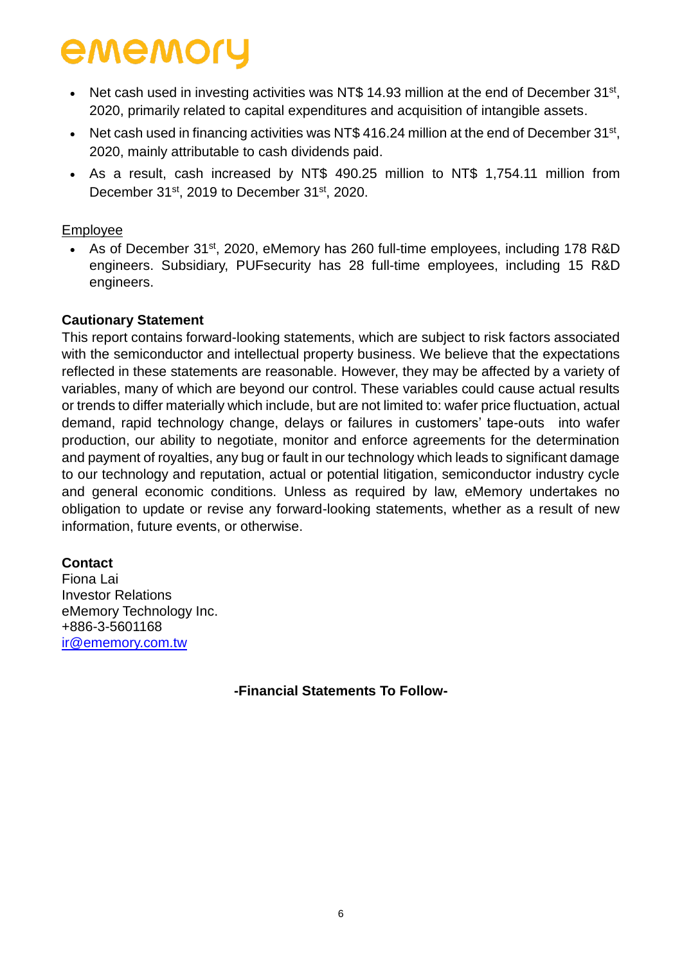- Net cash used in investing activities was NT\$ 14.93 million at the end of December  $31^{st}$ , 2020, primarily related to capital expenditures and acquisition of intangible assets.
- Net cash used in financing activities was NT\$ 416.24 million at the end of December  $31^{st}$ , 2020, mainly attributable to cash dividends paid.
- As a result, cash increased by NT\$ 490.25 million to NT\$ 1,754.11 million from December 31<sup>st</sup>, 2019 to December 31<sup>st</sup>, 2020.

#### Employee

• As of December 31<sup>st</sup>, 2020, eMemory has 260 full-time employees, including 178 R&D engineers. Subsidiary, PUFsecurity has 28 full-time employees, including 15 R&D engineers.

#### **Cautionary Statement**

This report contains forward-looking statements, which are subject to risk factors associated with the semiconductor and intellectual property business. We believe that the expectations reflected in these statements are reasonable. However, they may be affected by a variety of variables, many of which are beyond our control. These variables could cause actual results or trends to differ materially which include, but are not limited to: wafer price fluctuation, actual demand, rapid technology change, delays or failures in customers' tape-outs into wafer production, our ability to negotiate, monitor and enforce agreements for the determination and payment of royalties, any bug or fault in our technology which leads to significant damage to our technology and reputation, actual or potential litigation, semiconductor industry cycle and general economic conditions. Unless as required by law, eMemory undertakes no obligation to update or revise any forward-looking statements, whether as a result of new information, future events, or otherwise.

#### **Contact**

Fiona Lai Investor Relations eMemory Technology Inc. +886-3-5601168 [ir@ememory.com.tw](mailto:ir@ememory.com.tw)

**-Financial Statements To Follow-**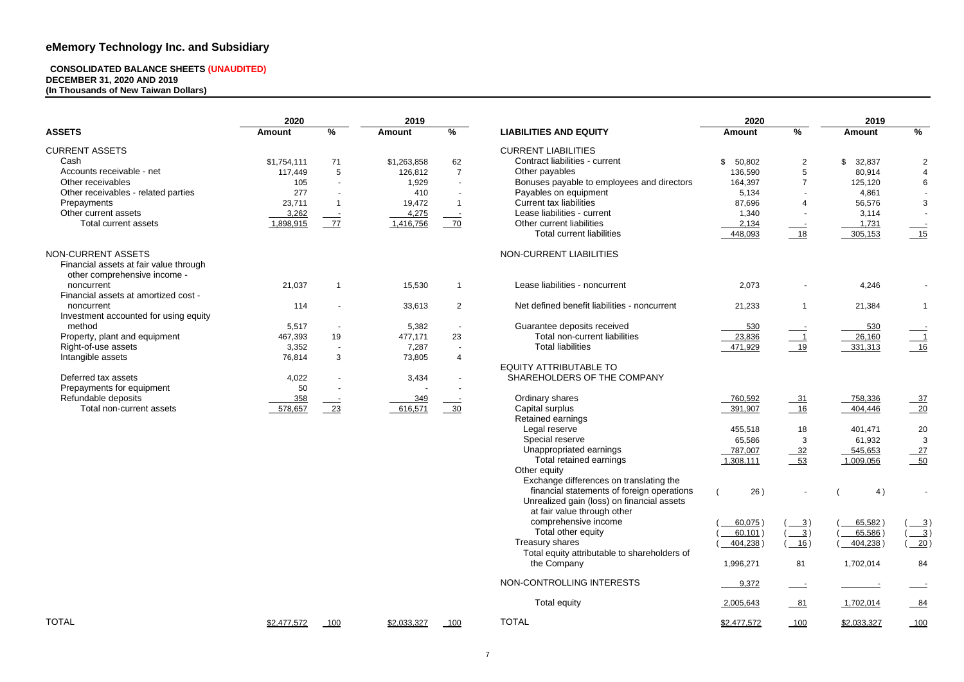#### **CONSOLIDATED BALANCE SHEETS (UNAUDITED) DECEMBER 31, 2020 AND 2019 (In Thousands of New Taiwan Dollars)**

|                                        | 2020          |                          | 2019          |                          |                                              | 2020          |                            | 2019          |                 |
|----------------------------------------|---------------|--------------------------|---------------|--------------------------|----------------------------------------------|---------------|----------------------------|---------------|-----------------|
| <b>ASSETS</b>                          | <b>Amount</b> | %                        | <b>Amount</b> | %                        | <b>LIABILITIES AND EQUITY</b>                | <b>Amount</b> | $\frac{9}{6}$              | <b>Amount</b> | $\%$            |
| <b>CURRENT ASSETS</b>                  |               |                          |               |                          | <b>CURRENT LIABILITIES</b>                   |               |                            |               |                 |
| Cash                                   | \$1,754,111   | 71                       | \$1,263,858   | 62                       | Contract liabilities - current               | \$<br>50,802  | $\overline{2}$             | \$<br>32,837  | $\overline{2}$  |
| Accounts receivable - net              | 117,449       | $5\phantom{.0}$          | 126,812       | $\overline{7}$           | Other payables                               | 136,590       | $\overline{5}$             | 80,914        | $\overline{4}$  |
| Other receivables                      | 105           |                          | 1,929         | $\sim$                   | Bonuses payable to employees and directors   | 164,397       | $\overline{7}$             | 125,120       | $6\overline{6}$ |
| Other receivables - related parties    | 277           |                          | 410           |                          | Payables on equipment                        | 5,134         |                            | 4,861         |                 |
| Prepayments                            | 23,711        |                          | 19,472        |                          | <b>Current tax liabilities</b>               | 87,696        | 4                          | 56,576        | $\mathbf{3}$    |
| Other current assets                   | 3,262         | $\sim$ $-$               | 4,275         | $\sim$ $-$               | Lease liabilities - current                  | 1,340         | $\sim$                     | 3,114         | $\sim$          |
| Total current assets                   | 1,898,915     | 77                       | 1,416,756     | $-70$                    | Other current liabilities                    | 2,134         |                            | 1,731         |                 |
|                                        |               |                          |               |                          | <b>Total current liabilities</b>             | 448,093       | $\sim$ $\sim$<br>$18$      | 305,153       | $\frac{15}{2}$  |
| NON-CURRENT ASSETS                     |               |                          |               |                          | NON-CURRENT LIABILITIES                      |               |                            |               |                 |
| Financial assets at fair value through |               |                          |               |                          |                                              |               |                            |               |                 |
| other comprehensive income -           |               |                          |               |                          |                                              |               |                            |               |                 |
| noncurrent                             | 21,037        |                          | 15,530        |                          | Lease liabilities - noncurrent               | 2,073         |                            | 4,246         |                 |
| Financial assets at amortized cost -   |               |                          |               |                          |                                              |               |                            |               |                 |
| noncurrent                             | 114           |                          | 33,613        | $\overline{2}$           | Net defined benefit liabilities - noncurrent | 21,233        | $\overline{1}$             | 21,384        | $\mathbf 1$     |
| Investment accounted for using equity  |               |                          |               |                          |                                              |               |                            |               |                 |
| method                                 | 5,517         |                          | 5,382         | $\overline{\phantom{a}}$ | Guarantee deposits received                  | 530           |                            | 530           |                 |
| Property, plant and equipment          | 467,393       | 19                       | 477,171       | 23                       | Total non-current liabilities                | 23,836        | $\overline{\phantom{0}}$ 1 | 26,160        |                 |
| Right-of-use assets                    | 3,352         | $\overline{\phantom{a}}$ | 7,287         | $\overline{\phantom{a}}$ | <b>Total liabilities</b>                     | 471,929       | 19                         | 331,313       | $\frac{1}{16}$  |
| Intangible assets                      | 76,814        | $\mathbf{3}$             | 73,805        | $\overline{4}$           |                                              |               |                            |               |                 |
|                                        |               |                          |               |                          | <b>EQUITY ATTRIBUTABLE TO</b>                |               |                            |               |                 |
| Deferred tax assets                    | 4,022         |                          | 3,434         |                          | SHAREHOLDERS OF THE COMPANY                  |               |                            |               |                 |
| Prepayments for equipment              | 50            |                          |               |                          |                                              |               |                            |               |                 |
| Refundable deposits                    | 358           |                          | 349           |                          | Ordinary shares                              | 760,592       |                            | 758,336       |                 |
| Total non-current assets               | 578,657       | $\frac{23}{2}$           | 616,571       | $-30$                    | Capital surplus                              |               | $-31$<br>16                | 404,446       | $\frac{37}{20}$ |
|                                        |               |                          |               |                          | Retained earnings                            | 391,907       |                            |               |                 |
|                                        |               |                          |               |                          |                                              |               |                            |               |                 |
|                                        |               |                          |               |                          | Legal reserve<br>Special reserve             | 455,518       | 18                         | 401,471       | 20              |
|                                        |               |                          |               |                          |                                              | 65,586        | $\mathbf{3}$               | 61,932        | $\mathbf{3}$    |
|                                        |               |                          |               |                          | Unappropriated earnings                      | 787,007       | $-32$                      | 545,653       | $-27$           |
|                                        |               |                          |               |                          | Total retained earnings                      | 1,308,111     | $-53$                      | 1,009,056     | $-50$           |
|                                        |               |                          |               |                          | Other equity                                 |               |                            |               |                 |
|                                        |               |                          |               |                          | Exchange differences on translating the      |               |                            |               |                 |
|                                        |               |                          |               |                          | financial statements of foreign operations   | 26)           |                            | 4)            |                 |
|                                        |               |                          |               |                          | Unrealized gain (loss) on financial assets   |               |                            |               |                 |
|                                        |               |                          |               |                          | at fair value through other                  |               |                            |               |                 |
|                                        |               |                          |               |                          | comprehensive income                         | 60,075)       | $\frac{3}{2}$              | 65,582)       | $\frac{3}{2}$   |
|                                        |               |                          |               |                          | Total other equity                           | 60,101        | $\overline{3}$ )           | 65,586        | $\frac{3}{2}$   |
|                                        |               |                          |               |                          | Treasury shares                              | 404,238       | 16)                        | 404,238       | 20)             |
|                                        |               |                          |               |                          | Total equity attributable to shareholders of |               |                            |               |                 |
|                                        |               |                          |               |                          | the Company                                  | 1,996,271     | 81                         | 1,702,014     | 84              |
|                                        |               |                          |               |                          | NON-CONTROLLING INTERESTS                    | 9,372         | $\overline{\phantom{0}}$   |               |                 |
|                                        |               |                          |               |                          | <b>Total equity</b>                          | 2,005,643     | $-81$                      | 1,702,014     | $-84$           |
| <b>TOTAL</b>                           | \$2,477,572   | 100                      | \$2,033,327   |                          | <b>TOTAL</b>                                 | \$2,477,572   |                            | \$2,033,327   | 100             |
|                                        |               |                          |               |                          |                                              |               |                            |               |                 |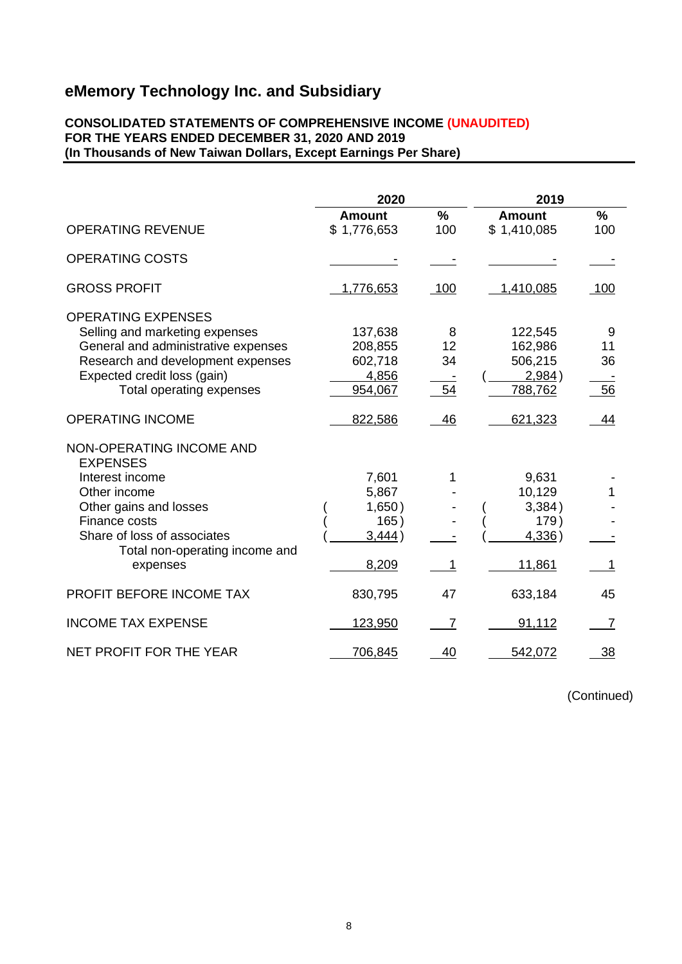#### **CONSOLIDATED STATEMENTS OF COMPREHENSIVE INCOME (UNAUDITED) FOR THE YEARS ENDED DECEMBER 31, 2020 AND 2019 (In Thousands of New Taiwan Dollars, Except Earnings Per Share)**

|                                                                                                                                                                                                        | 2020                                                |                     | 2019                                                  |                     |
|--------------------------------------------------------------------------------------------------------------------------------------------------------------------------------------------------------|-----------------------------------------------------|---------------------|-------------------------------------------------------|---------------------|
|                                                                                                                                                                                                        | <b>Amount</b>                                       | $\%$                | <b>Amount</b>                                         | $\frac{9}{6}$       |
| <b>OPERATING REVENUE</b>                                                                                                                                                                               | \$1,776,653                                         | 100                 | \$1,410,085                                           | 100                 |
| <b>OPERATING COSTS</b>                                                                                                                                                                                 |                                                     |                     |                                                       |                     |
| <b>GROSS PROFIT</b>                                                                                                                                                                                    | 1,776,653                                           | 100                 | 1,410,085                                             | 100                 |
| <b>OPERATING EXPENSES</b><br>Selling and marketing expenses<br>General and administrative expenses<br>Research and development expenses<br>Expected credit loss (gain)<br>Total operating expenses     | 137,638<br>208,855<br>602,718<br>4,856<br>954,067   | 8<br>12<br>34<br>54 | 122,545<br>162,986<br>506,215<br>2,984)<br>788,762    | 9<br>11<br>36<br>56 |
| <b>OPERATING INCOME</b>                                                                                                                                                                                | 822,586                                             | 46                  | 621,323                                               | 44                  |
| NON-OPERATING INCOME AND<br><b>EXPENSES</b><br>Interest income<br>Other income<br>Other gains and losses<br>Finance costs<br>Share of loss of associates<br>Total non-operating income and<br>expenses | 7,601<br>5,867<br>1,650)<br>165)<br>3,444)<br>8,209 | 1                   | 9,631<br>10,129<br>3,384)<br>179)<br>4,336)<br>11,861 |                     |
| PROFIT BEFORE INCOME TAX                                                                                                                                                                               | 830,795                                             | 47                  | 633,184                                               | 45                  |
| <b>INCOME TAX EXPENSE</b>                                                                                                                                                                              | 123,950                                             | $\overline{7}$      | 91,112                                                | 7                   |
| NET PROFIT FOR THE YEAR                                                                                                                                                                                | 706,845                                             | 40                  | 542,072                                               | 38                  |

(Continued)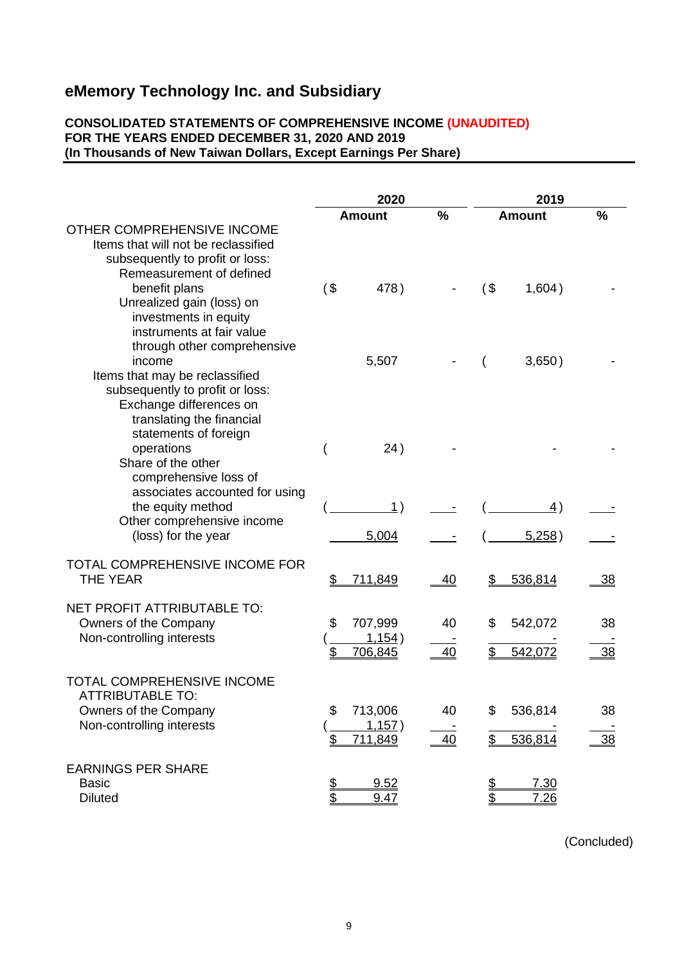#### **CONSOLIDATED STATEMENTS OF COMPREHENSIVE INCOME (UNAUDITED) FOR THE YEARS ENDED DECEMBER 31, 2020 AND 2019 (In Thousands of New Taiwan Dollars, Except Earnings Per Share)**

|                                                                                                                                                              |          | 2020                         |           |          | 2019                |                 |
|--------------------------------------------------------------------------------------------------------------------------------------------------------------|----------|------------------------------|-----------|----------|---------------------|-----------------|
|                                                                                                                                                              |          | <b>Amount</b>                | %         |          | <b>Amount</b>       | %               |
| OTHER COMPREHENSIVE INCOME<br>Items that will not be reclassified<br>subsequently to profit or loss:<br>Remeasurement of defined                             |          |                              |           |          |                     |                 |
| benefit plans<br>Unrealized gain (loss) on<br>investments in equity<br>instruments at fair value<br>through other comprehensive                              | $($ \$   | 478)                         |           | $($ \$   | 1,604)              |                 |
| income<br>Items that may be reclassified<br>subsequently to profit or loss:<br>Exchange differences on<br>translating the financial<br>statements of foreign |          | 5,507                        |           |          | 3,650)              |                 |
| operations<br>Share of the other<br>comprehensive loss of<br>associates accounted for using                                                                  |          | 24)                          |           |          |                     |                 |
| the equity method<br>Other comprehensive income<br>(loss) for the year                                                                                       |          | $\mathbf{1}$ )<br>5,004      |           |          | <u>4)</u><br>5,258) |                 |
| TOTAL COMPREHENSIVE INCOME FOR<br><b>THE YEAR</b>                                                                                                            | \$       | 711,849                      | <u>40</u> | \$       | 536,814             | <u>38</u>       |
| NET PROFIT ATTRIBUTABLE TO:<br>Owners of the Company<br>Non-controlling interests                                                                            | \$<br>\$ | 707,999<br>1,154)<br>706,845 | 40<br>40  | \$       | 542,072<br>542,072  | 38<br><u>38</u> |
| TOTAL COMPREHENSIVE INCOME<br>ATTRIBUTABLE TO:<br>Owners of the Company<br>Non-controlling interests                                                         | \$<br>\$ | 713,006<br>1,157)<br>711,849 | 40<br>40  | \$<br>\$ | 536,814<br>536,814  | 38<br>38        |
| <b>EARNINGS PER SHARE</b><br><b>Basic</b><br><b>Diluted</b>                                                                                                  | \$       | 9.52<br>9.47                 |           | S<br>16  | 7.30<br><u>7.26</u> |                 |

(Concluded)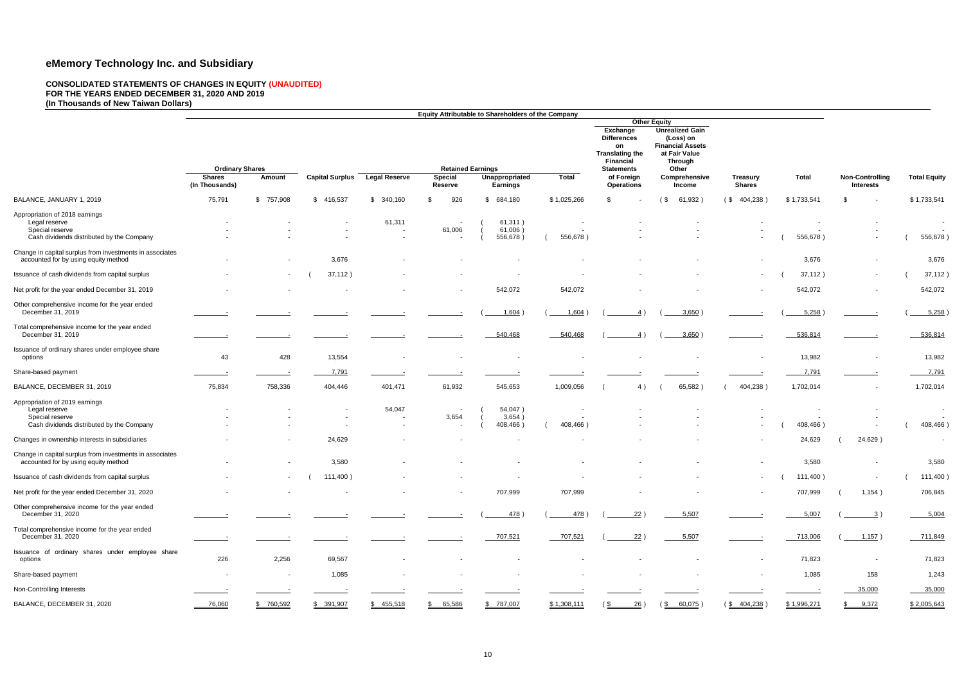#### **CONSOLIDATED STATEMENTS OF CHANGES IN EQUITY (UNAUDITED) FOR THE YEARS ENDED DECEMBER 31, 2020 AND 2019 (In Thousands of New Taiwan Dollars)**

|                                                                                                  |                                 |                |                        |                      |                                  | Equity Attributable to Shareholders of the Company |                                      |                                                |                                                                                       |                                  |             |                                            |                     |
|--------------------------------------------------------------------------------------------------|---------------------------------|----------------|------------------------|----------------------|----------------------------------|----------------------------------------------------|--------------------------------------|------------------------------------------------|---------------------------------------------------------------------------------------|----------------------------------|-------------|--------------------------------------------|---------------------|
|                                                                                                  |                                 |                |                        |                      |                                  |                                                    |                                      | Exchange<br><b>Differences</b><br>on           | <b>Other Equity</b><br><b>Unrealized Gain</b><br>(Loss) on<br><b>Financial Assets</b> |                                  |             |                                            |                     |
|                                                                                                  |                                 |                |                        |                      |                                  |                                                    |                                      | <b>Translating the</b><br><b>Financial</b>     | at Fair Value<br><b>Through</b>                                                       |                                  |             |                                            |                     |
|                                                                                                  | <b>Ordinary Shares</b>          |                |                        |                      | <b>Retained Earnings</b>         |                                                    |                                      | <b>Statements</b>                              | Other                                                                                 |                                  |             |                                            |                     |
|                                                                                                  | <b>Shares</b><br>(In Thousands) | Amount         | <b>Capital Surplus</b> | <b>Legal Reserve</b> | <b>Special</b><br><b>Reserve</b> | Unappropriated<br><b>Earnings</b>                  | <b>Total</b>                         | of Foreign<br><b>Operations</b>                | Comprehensive<br><b>Income</b>                                                        | <b>Treasury</b><br><b>Shares</b> | Total       | <b>Non-Controlling</b><br><b>Interests</b> | <b>Total Equity</b> |
| BALANCE, JANUARY 1, 2019                                                                         | 75,791                          | \$757,908      | \$416,537              | 340,160<br>S.        | 926<br>S                         | 684,180<br>S                                       | \$1,025,266                          | \$                                             | 61,932<br>(\$                                                                         | 404,238<br>(S)                   | \$1,733,541 | S                                          | \$1,733,541         |
| Appropriation of 2018 earnings                                                                   |                                 |                |                        |                      |                                  |                                                    |                                      |                                                |                                                                                       |                                  |             |                                            |                     |
| Legal reserve<br>Special reserve                                                                 |                                 |                |                        | 61,311               | $\sim$<br>61,006                 | 61,311)<br>61,006                                  |                                      |                                                |                                                                                       |                                  |             |                                            | $\sim$              |
| Cash dividends distributed by the Company                                                        |                                 |                |                        |                      |                                  | 556,678)                                           | 556,678)                             |                                                |                                                                                       |                                  | 556,678)    |                                            | 556,678)            |
| Change in capital surplus from investments in associates                                         |                                 |                |                        |                      |                                  |                                                    |                                      |                                                |                                                                                       |                                  |             |                                            |                     |
| accounted for by using equity method                                                             |                                 | $\sim$         | 3,676                  |                      |                                  |                                                    |                                      |                                                |                                                                                       | $\overline{\phantom{a}}$         | 3,676       |                                            | 3,676               |
| Issuance of cash dividends from capital surplus                                                  |                                 | $\sim$         | 37,112)                |                      |                                  |                                                    |                                      |                                                |                                                                                       |                                  | 37,112)     |                                            | 37,112)             |
| Net profit for the year ended December 31, 2019                                                  |                                 |                |                        |                      |                                  | 542,072                                            | 542,072                              |                                                |                                                                                       | $\sim$                           | 542,072     |                                            | 542,072             |
| Other comprehensive income for the year ended<br>December 31, 2019                               |                                 |                |                        |                      |                                  | 1,604                                              | 1,604                                | 4)                                             | 3,650                                                                                 |                                  | 5,258       |                                            | 5,258               |
| Total comprehensive income for the year ended<br>December 31, 2019                               |                                 |                |                        |                      |                                  | 540,468                                            | 540,468                              | 4 <sup>1</sup>                                 | $3,650$ )                                                                             |                                  | 536,814     |                                            | 536,814             |
| Issuance of ordinary shares under employee share<br>options                                      | 43                              | 428            | 13,554                 |                      |                                  |                                                    |                                      |                                                |                                                                                       |                                  | 13,982      |                                            | 13,982              |
| Share-based payment                                                                              |                                 |                | 7,791                  |                      |                                  |                                                    |                                      |                                                |                                                                                       |                                  | 7,791       |                                            | 7,791               |
| BALANCE, DECEMBER 31, 2019                                                                       | 75,834                          | 758,336        | 404,446                | 401,471              | 61,932                           | 545,653                                            | 1,009,056                            | 4)                                             | 65,582                                                                                | 404,238)                         | 1,702,014   |                                            | 1,702,014           |
| Appropriation of 2019 earnings                                                                   |                                 |                |                        |                      |                                  |                                                    |                                      |                                                |                                                                                       |                                  |             |                                            |                     |
| Legal reserve                                                                                    |                                 |                |                        | 54,047               | $\sim$                           | 54,047)                                            |                                      |                                                |                                                                                       |                                  |             |                                            | $\sim$              |
| Special reserve<br>Cash dividends distributed by the Company                                     |                                 |                | $\sim$                 |                      | 3,654                            | 3,654<br>408,466                                   | $\overline{\phantom{a}}$<br>408,466) |                                                |                                                                                       |                                  | 408,466)    |                                            | 408,466             |
|                                                                                                  |                                 |                |                        |                      |                                  |                                                    |                                      |                                                |                                                                                       |                                  |             |                                            |                     |
| Changes in ownership interests in subsidiaries                                                   |                                 |                | 24,629                 |                      |                                  |                                                    |                                      |                                                |                                                                                       |                                  | 24,629      | 24,629)                                    | $\sim$              |
| Change in capital surplus from investments in associates<br>accounted for by using equity method |                                 |                | 3,580                  |                      |                                  |                                                    |                                      |                                                |                                                                                       |                                  | 3,580       |                                            | 3,580               |
| Issuance of cash dividends from capital surplus                                                  | $\sim$                          | $\sim$         | 111,400)               |                      |                                  | $\sim$                                             | $\sim$                               |                                                |                                                                                       | $\sim$ 100 $\mu$                 | 111,400)    | $\blacksquare$                             | 111,400)            |
| Net profit for the year ended December 31, 2020                                                  | $\blacksquare$                  | $\sim$         | $\sim$                 |                      | $\sim$                           | 707,999                                            | 707,999                              |                                                |                                                                                       | $\sim$                           | 707,999     | 1,154)                                     | 706,845             |
| Other comprehensive income for the year ended<br>December 31, 2020                               |                                 |                |                        |                      |                                  | 478)                                               | 478)                                 | 22)                                            | 5,507                                                                                 | $\sim$                           | 5,007       | $\frac{3}{2}$                              | 5,004               |
| Total comprehensive income for the year ended<br>December 31, 2020                               |                                 |                |                        |                      |                                  | 707,521                                            | $-707,521$                           | 22)                                            | 5,507                                                                                 |                                  | 713,006     | 1,157)                                     | 711,849             |
| Issuance of ordinary shares under employee share<br>options                                      | 226                             | 2,256          | 69,567                 |                      |                                  | $\sim$                                             | $\sim$                               |                                                |                                                                                       | $\sim$                           | 71,823      | $\sim$                                     | 71,823              |
| Share-based payment                                                                              | $\sim$                          | $\blacksquare$ | 1,085                  |                      |                                  | $\sim$                                             | $\sim$                               |                                                |                                                                                       | $\overline{\phantom{a}}$         | 1,085       | 158                                        | 1,243               |
| Non-Controlling Interests                                                                        |                                 |                |                        |                      |                                  |                                                    |                                      |                                                |                                                                                       |                                  |             | 35,000                                     | 35,000              |
| BALANCE, DECEMBER 31, 2020                                                                       | 76,060                          | \$760,592      | \$ 391,907             | \$ 455,518           | \$65,586                         | \$ 787,007                                         | \$1,308,111                          | $\frac{26}{ }$ )<br>$(\underline{\mathsf{s}})$ | ( <u>\$  60,075</u> )                                                                 | $(\frac{$404,238}{)$             | \$1,996,271 | 9,372                                      | \$2,005,643         |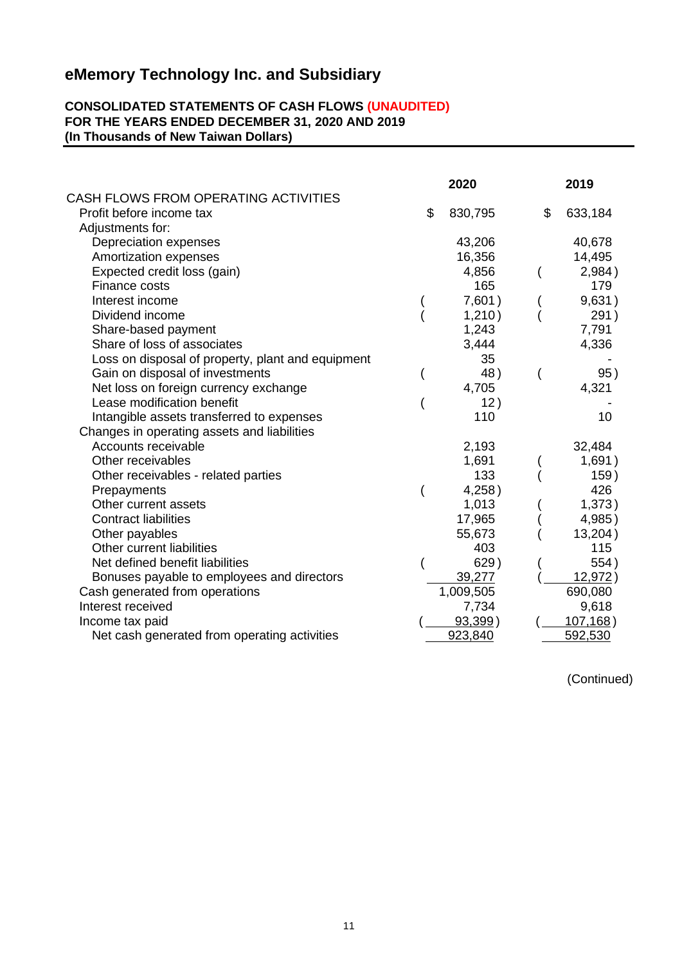#### **CONSOLIDATED STATEMENTS OF CASH FLOWS (UNAUDITED) FOR THE YEARS ENDED DECEMBER 31, 2020 AND 2019 (In Thousands of New Taiwan Dollars)**

|                                                   | 2020          | 2019          |
|---------------------------------------------------|---------------|---------------|
| CASH FLOWS FROM OPERATING ACTIVITIES              |               |               |
| Profit before income tax                          | \$<br>830,795 | \$<br>633,184 |
| Adjustments for:                                  |               |               |
| Depreciation expenses                             | 43,206        | 40,678        |
| Amortization expenses                             | 16,356        | 14,495        |
| Expected credit loss (gain)                       | 4,856         | 2,984)        |
| Finance costs                                     | 165           | 179           |
| Interest income                                   | 7,601)        | 9,631)        |
| Dividend income                                   | 1,210)        | 291)          |
| Share-based payment                               | 1,243         | 7,791         |
| Share of loss of associates                       | 3,444         | 4,336         |
| Loss on disposal of property, plant and equipment | 35            |               |
| Gain on disposal of investments                   | 48)           | 95)           |
| Net loss on foreign currency exchange             | 4,705         | 4,321         |
| Lease modification benefit                        | 12)           |               |
| Intangible assets transferred to expenses         | 110           | 10            |
| Changes in operating assets and liabilities       |               |               |
| Accounts receivable                               | 2,193         | 32,484        |
| Other receivables                                 | 1,691         | 1,691)        |
| Other receivables - related parties               | 133           | 159)          |
| Prepayments                                       | 4,258)        | 426           |
| Other current assets                              | 1,013         | 1,373)        |
| <b>Contract liabilities</b>                       | 17,965        | 4,985)        |
| Other payables                                    | 55,673        | 13,204)       |
| Other current liabilities                         | 403           | 115           |
| Net defined benefit liabilities                   | 629)          | 554)          |
| Bonuses payable to employees and directors        | 39,277        | 12,972)       |
| Cash generated from operations                    | 1,009,505     | 690,080       |
| Interest received                                 | 7,734         | 9,618         |
| Income tax paid                                   | $93,399$ )    | 107, 168)     |
| Net cash generated from operating activities      | 923,840       | 592,530       |

(Continued)